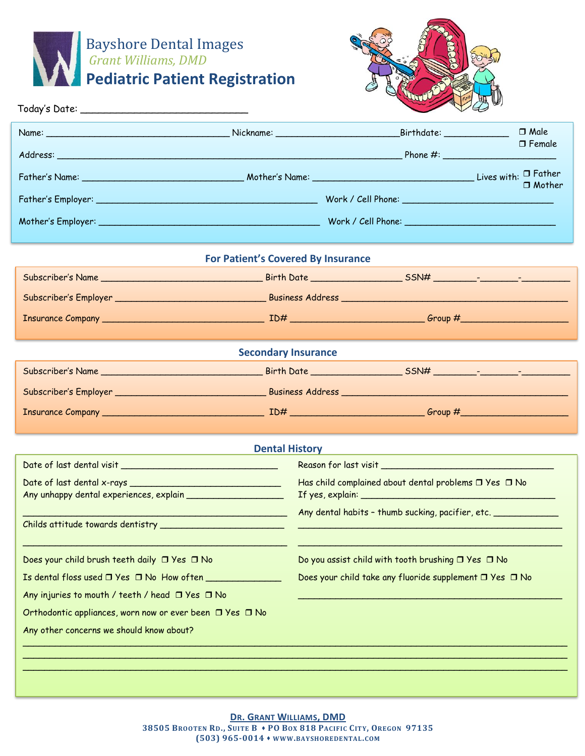



|                                                           |                                                                                                               |                                                         | $\vee \omega$    |  |  |  |
|-----------------------------------------------------------|---------------------------------------------------------------------------------------------------------------|---------------------------------------------------------|------------------|--|--|--|
|                                                           |                                                                                                               | $\_Birthdate:$                                          | $\Box$ Male      |  |  |  |
|                                                           |                                                                                                               |                                                         | $\square$ Female |  |  |  |
|                                                           |                                                                                                               |                                                         | $\Box$ Mother    |  |  |  |
|                                                           |                                                                                                               |                                                         |                  |  |  |  |
|                                                           |                                                                                                               |                                                         |                  |  |  |  |
|                                                           |                                                                                                               |                                                         |                  |  |  |  |
|                                                           | For Patient's Covered By Insurance                                                                            |                                                         |                  |  |  |  |
|                                                           |                                                                                                               |                                                         |                  |  |  |  |
|                                                           |                                                                                                               |                                                         |                  |  |  |  |
|                                                           |                                                                                                               |                                                         |                  |  |  |  |
|                                                           | <b>Secondary Insurance</b>                                                                                    |                                                         |                  |  |  |  |
|                                                           |                                                                                                               |                                                         |                  |  |  |  |
|                                                           |                                                                                                               |                                                         |                  |  |  |  |
|                                                           |                                                                                                               |                                                         |                  |  |  |  |
|                                                           |                                                                                                               |                                                         |                  |  |  |  |
|                                                           | <b>Dental History</b>                                                                                         |                                                         |                  |  |  |  |
|                                                           |                                                                                                               |                                                         |                  |  |  |  |
|                                                           | Has child complained about dental problems $\Box$ Yes $\Box$ No                                               |                                                         |                  |  |  |  |
|                                                           | Any dental habits - thumb sucking, pacifier, etc.<br><u> 1989 - Johann Barbara, martxa a shekara 1989 - A</u> |                                                         |                  |  |  |  |
|                                                           |                                                                                                               |                                                         |                  |  |  |  |
| Does your child brush teeth daily □ Yes □ No              |                                                                                                               | Do you assist child with tooth brushing □ Yes □ No      |                  |  |  |  |
| Is dental floss used □ Yes □ No How often                 |                                                                                                               | Does your child take any fluoride supplement □ Yes □ No |                  |  |  |  |
| Any injuries to mouth / teeth / head $\Box$ Yes $\Box$ No |                                                                                                               |                                                         |                  |  |  |  |
| Orthodontic appliances, worn now or ever been □ Yes □ No  |                                                                                                               |                                                         |                  |  |  |  |
| Any other concerns we should know about?                  |                                                                                                               |                                                         |                  |  |  |  |
|                                                           |                                                                                                               |                                                         |                  |  |  |  |
|                                                           |                                                                                                               |                                                         |                  |  |  |  |